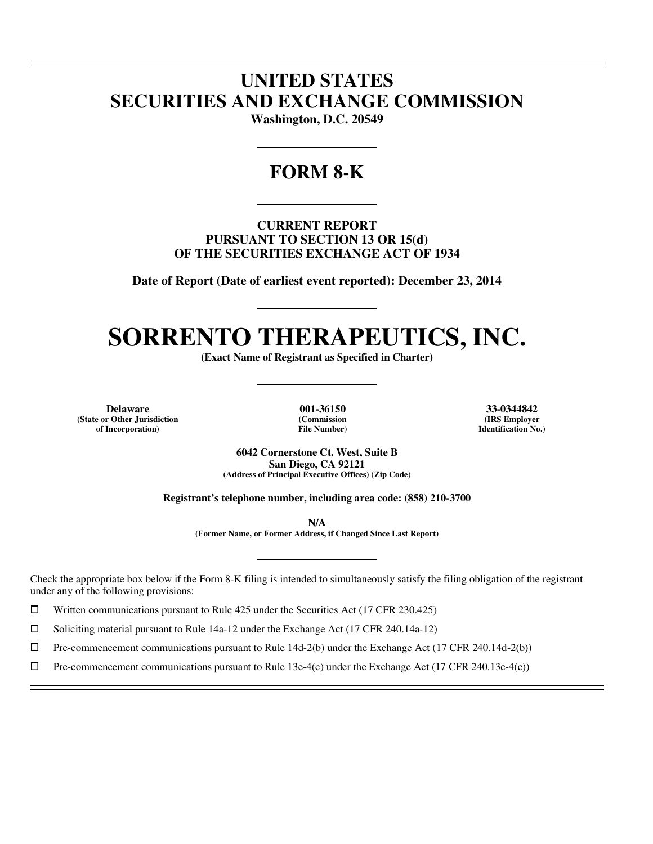## **UNITED STATES SECURITIES AND EXCHANGE COMMISSION**

**Washington, D.C. 20549** 

### **FORM 8-K**

**CURRENT REPORT PURSUANT TO SECTION 13 OR 15(d) OF THE SECURITIES EXCHANGE ACT OF 1934** 

**Date of Report (Date of earliest event reported): December 23, 2014** 

# **SORRENTO THERAPEUTICS, INC.**

**(Exact Name of Registrant as Specified in Charter)** 

**Delaware 001-36150 33-0344842 (State or Other Jurisdiction of Incorporation)**

 $\overline{a}$  $\overline{a}$ 

 $\overline{a}$ 

**(Commission File Number)**

**(IRS Employer Identification No.)**

**6042 Cornerstone Ct. West, Suite B San Diego, CA 92121 (Address of Principal Executive Offices) (Zip Code)** 

**Registrant's telephone number, including area code: (858) 210-3700** 

**N/A** 

**(Former Name, or Former Address, if Changed Since Last Report)** 

Check the appropriate box below if the Form 8-K filing is intended to simultaneously satisfy the filing obligation of the registrant under any of the following provisions:

 $□$  Written communications pursuant to Rule 425 under the Securities Act (17 CFR 230.425)<br>
□ Soliciting material pursuant to Rule 14a-12 under the Exchange Act (17 CFR 240.14a-12)

<p>\n 5oliciting material pursuit to Rule 14a-12 under the Exchange Act (17 CFR 240.14a-12)\n 10\n 11.2 The component communications pursuit to Rule 14d-2(b) under the Exchange Act (17 CFR 240.14a-12)\n</p>

 $\Box$  Pre-commencement communications pursuant to Rule 14d-2(b) under the Exchange Act (17 CFR 240.14d-2(b))<br>  $\Box$  Pre-commencement communications pursuant to Rule 13e-4(c) under the Exchange Act (17 CFR 240.13e-4(c))

Pre-commencement communications pursuant to Rule 13e-4(c) under the Exchange Act (17 CFR 240.13e-4(c))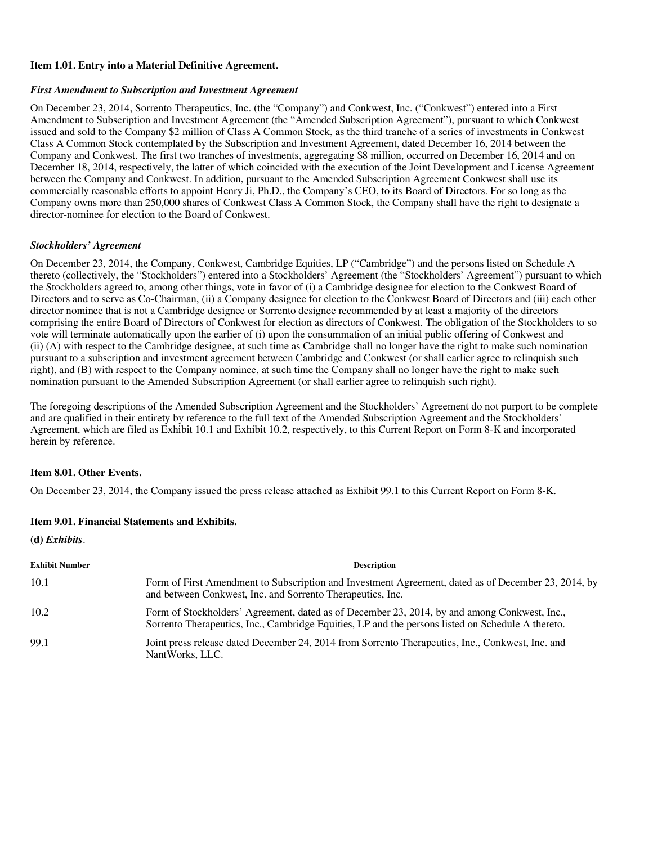#### **Item 1.01. Entry into a Material Definitive Agreement.**

#### *First Amendment to Subscription and Investment Agreement*

On December 23, 2014, Sorrento Therapeutics, Inc. (the "Company") and Conkwest, Inc. ("Conkwest") entered into a First Amendment to Subscription and Investment Agreement (the "Amended Subscription Agreement"), pursuant to which Conkwest issued and sold to the Company \$2 million of Class A Common Stock, as the third tranche of a series of investments in Conkwest Class A Common Stock contemplated by the Subscription and Investment Agreement, dated December 16, 2014 between the Company and Conkwest. The first two tranches of investments, aggregating \$8 million, occurred on December 16, 2014 and on December 18, 2014, respectively, the latter of which coincided with the execution of the Joint Development and License Agreement between the Company and Conkwest. In addition, pursuant to the Amended Subscription Agreement Conkwest shall use its commercially reasonable efforts to appoint Henry Ji, Ph.D., the Company's CEO, to its Board of Directors. For so long as the Company owns more than 250,000 shares of Conkwest Class A Common Stock, the Company shall have the right to designate a director-nominee for election to the Board of Conkwest.

#### *Stockholders' Agreement*

On December 23, 2014, the Company, Conkwest, Cambridge Equities, LP ("Cambridge") and the persons listed on Schedule A thereto (collectively, the "Stockholders") entered into a Stockholders' Agreement (the "Stockholders' Agreement") pursuant to which the Stockholders agreed to, among other things, vote in favor of (i) a Cambridge designee for election to the Conkwest Board of Directors and to serve as Co-Chairman, (ii) a Company designee for election to the Conkwest Board of Directors and (iii) each other director nominee that is not a Cambridge designee or Sorrento designee recommended by at least a majority of the directors comprising the entire Board of Directors of Conkwest for election as directors of Conkwest. The obligation of the Stockholders to so vote will terminate automatically upon the earlier of (i) upon the consummation of an initial public offering of Conkwest and (ii) (A) with respect to the Cambridge designee, at such time as Cambridge shall no longer have the right to make such nomination pursuant to a subscription and investment agreement between Cambridge and Conkwest (or shall earlier agree to relinquish such right), and (B) with respect to the Company nominee, at such time the Company shall no longer have the right to make such nomination pursuant to the Amended Subscription Agreement (or shall earlier agree to relinquish such right).

The foregoing descriptions of the Amended Subscription Agreement and the Stockholders' Agreement do not purport to be complete and are qualified in their entirety by reference to the full text of the Amended Subscription Agreement and the Stockholders' Agreement, which are filed as Exhibit 10.1 and Exhibit 10.2, respectively, to this Current Report on Form 8-K and incorporated herein by reference.

#### **Item 8.01. Other Events.**

On December 23, 2014, the Company issued the press release attached as Exhibit 99.1 to this Current Report on Form 8-K.

#### **Item 9.01. Financial Statements and Exhibits.**

**(d)** *Exhibits*.

| <b>Exhibit Number</b> | <b>Description</b>                                                                                                                                                                                |
|-----------------------|---------------------------------------------------------------------------------------------------------------------------------------------------------------------------------------------------|
| 10.1                  | Form of First Amendment to Subscription and Investment Agreement, dated as of December 23, 2014, by<br>and between Conkwest, Inc. and Sorrento Therapeutics, Inc.                                 |
| 10.2                  | Form of Stockholders' Agreement, dated as of December 23, 2014, by and among Conkwest, Inc.,<br>Sorrento Therapeutics, Inc., Cambridge Equities, LP and the persons listed on Schedule A thereto. |
| 99.1                  | Joint press release dated December 24, 2014 from Sorrento Therapeutics, Inc., Conkwest, Inc. and<br>NantWorks, LLC.                                                                               |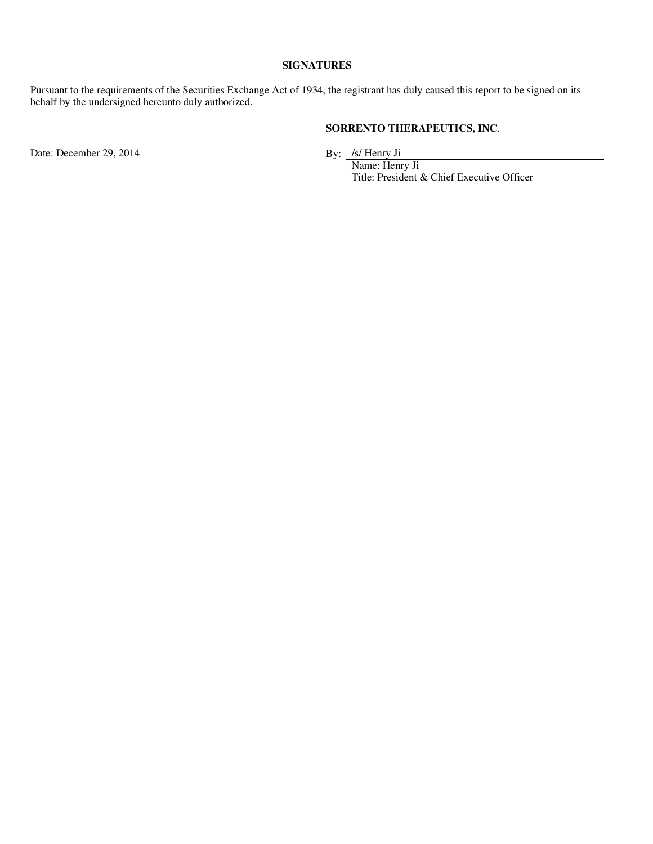#### **SIGNATURES**

Pursuant to the requirements of the Securities Exchange Act of 1934, the registrant has duly caused this report to be signed on its behalf by the undersigned hereunto duly authorized.

#### **SORRENTO THERAPEUTICS, INC**.

Date: December 29, 2014

 Name: Henry Ji Title: President & Chief Executive Officer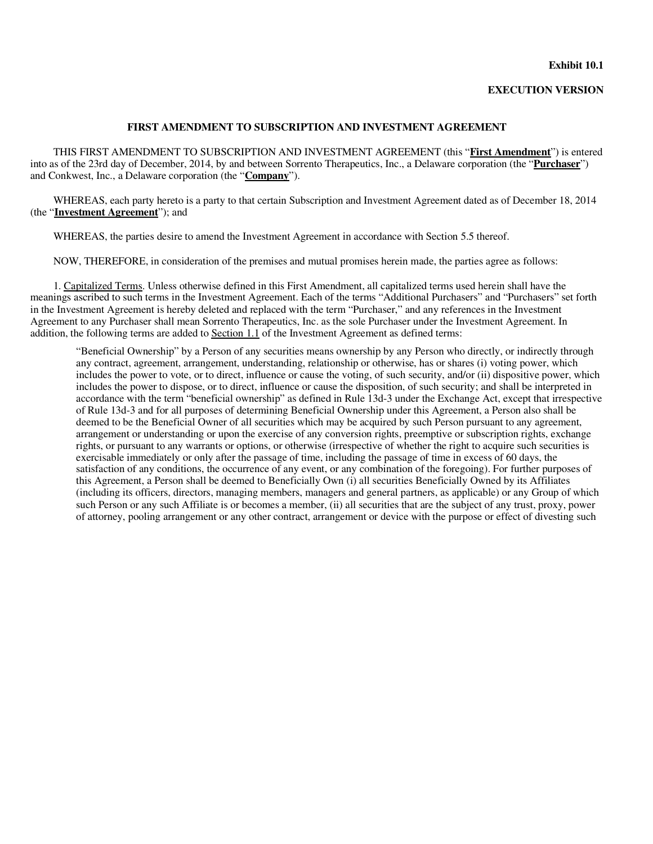#### **Exhibit 10.1**

#### **EXECUTION VERSION**

#### **FIRST AMENDMENT TO SUBSCRIPTION AND INVESTMENT AGREEMENT**

THIS FIRST AMENDMENT TO SUBSCRIPTION AND INVESTMENT AGREEMENT (this "**First Amendment**") is entered into as of the 23rd day of December, 2014, by and between Sorrento Therapeutics, Inc., a Delaware corporation (the "**Purchaser**") and Conkwest, Inc., a Delaware corporation (the "**Company**").

WHEREAS, each party hereto is a party to that certain Subscription and Investment Agreement dated as of December 18, 2014 (the "**Investment Agreement**"); and

WHEREAS, the parties desire to amend the Investment Agreement in accordance with Section 5.5 thereof.

NOW, THEREFORE, in consideration of the premises and mutual promises herein made, the parties agree as follows:

1. Capitalized Terms. Unless otherwise defined in this First Amendment, all capitalized terms used herein shall have the meanings ascribed to such terms in the Investment Agreement. Each of the terms "Additional Purchasers" and "Purchasers" set forth in the Investment Agreement is hereby deleted and replaced with the term "Purchaser," and any references in the Investment Agreement to any Purchaser shall mean Sorrento Therapeutics, Inc. as the sole Purchaser under the Investment Agreement. In addition, the following terms are added to Section 1.1 of the Investment Agreement as defined terms:

"Beneficial Ownership" by a Person of any securities means ownership by any Person who directly, or indirectly through any contract, agreement, arrangement, understanding, relationship or otherwise, has or shares (i) voting power, which includes the power to vote, or to direct, influence or cause the voting, of such security, and/or (ii) dispositive power, which includes the power to dispose, or to direct, influence or cause the disposition, of such security; and shall be interpreted in accordance with the term "beneficial ownership" as defined in Rule 13d-3 under the Exchange Act, except that irrespective of Rule 13d-3 and for all purposes of determining Beneficial Ownership under this Agreement, a Person also shall be deemed to be the Beneficial Owner of all securities which may be acquired by such Person pursuant to any agreement, arrangement or understanding or upon the exercise of any conversion rights, preemptive or subscription rights, exchange rights, or pursuant to any warrants or options, or otherwise (irrespective of whether the right to acquire such securities is exercisable immediately or only after the passage of time, including the passage of time in excess of 60 days, the satisfaction of any conditions, the occurrence of any event, or any combination of the foregoing). For further purposes of this Agreement, a Person shall be deemed to Beneficially Own (i) all securities Beneficially Owned by its Affiliates (including its officers, directors, managing members, managers and general partners, as applicable) or any Group of which such Person or any such Affiliate is or becomes a member, (ii) all securities that are the subject of any trust, proxy, power of attorney, pooling arrangement or any other contract, arrangement or device with the purpose or effect of divesting such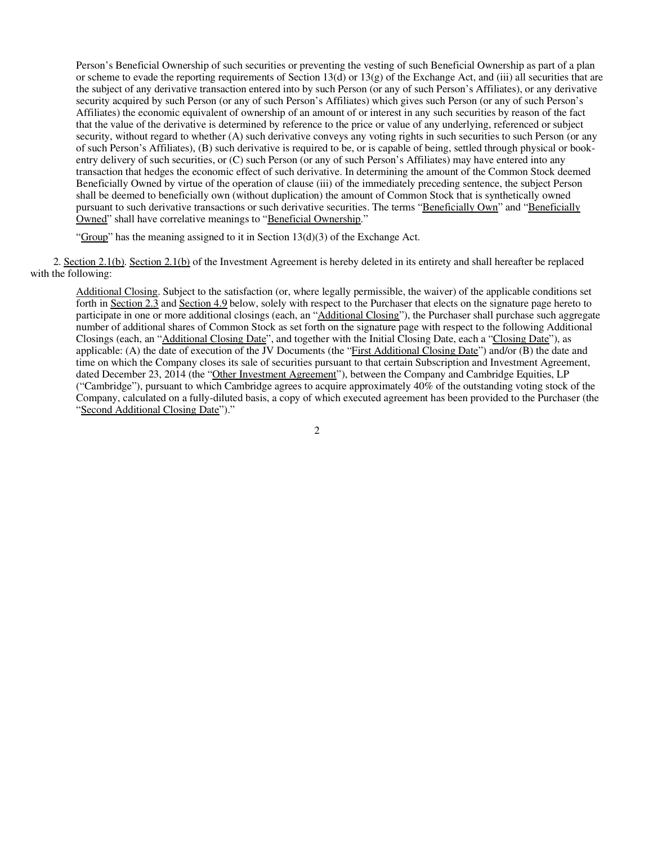Person's Beneficial Ownership of such securities or preventing the vesting of such Beneficial Ownership as part of a plan or scheme to evade the reporting requirements of Section 13(d) or 13(g) of the Exchange Act, and (iii) all securities that are the subject of any derivative transaction entered into by such Person (or any of such Person's Affiliates), or any derivative security acquired by such Person (or any of such Person's Affiliates) which gives such Person (or any of such Person's Affiliates) the economic equivalent of ownership of an amount of or interest in any such securities by reason of the fact that the value of the derivative is determined by reference to the price or value of any underlying, referenced or subject security, without regard to whether (A) such derivative conveys any voting rights in such securities to such Person (or any of such Person's Affiliates), (B) such derivative is required to be, or is capable of being, settled through physical or bookentry delivery of such securities, or (C) such Person (or any of such Person's Affiliates) may have entered into any transaction that hedges the economic effect of such derivative. In determining the amount of the Common Stock deemed Beneficially Owned by virtue of the operation of clause (iii) of the immediately preceding sentence, the subject Person shall be deemed to beneficially own (without duplication) the amount of Common Stock that is synthetically owned pursuant to such derivative transactions or such derivative securities. The terms "Beneficially Own" and "Beneficially Owned" shall have correlative meanings to "Beneficial Ownership."

"Group" has the meaning assigned to it in Section  $13(d)(3)$  of the Exchange Act.

2. Section 2.1(b). Section 2.1(b) of the Investment Agreement is hereby deleted in its entirety and shall hereafter be replaced with the following:

Additional Closing. Subject to the satisfaction (or, where legally permissible, the waiver) of the applicable conditions set forth in Section 2.3 and Section 4.9 below, solely with respect to the Purchaser that elects on the signature page hereto to participate in one or more additional closings (each, an "Additional Closing"), the Purchaser shall purchase such aggregate number of additional shares of Common Stock as set forth on the signature page with respect to the following Additional Closings (each, an "Additional Closing Date", and together with the Initial Closing Date, each a "Closing Date"), as applicable: (A) the date of execution of the JV Documents (the "First Additional Closing Date") and/or (B) the date and time on which the Company closes its sale of securities pursuant to that certain Subscription and Investment Agreement, dated December 23, 2014 (the "Other Investment Agreement"), between the Company and Cambridge Equities, LP ("Cambridge"), pursuant to which Cambridge agrees to acquire approximately 40% of the outstanding voting stock of the Company, calculated on a fully-diluted basis, a copy of which executed agreement has been provided to the Purchaser (the "Second Additional Closing Date")."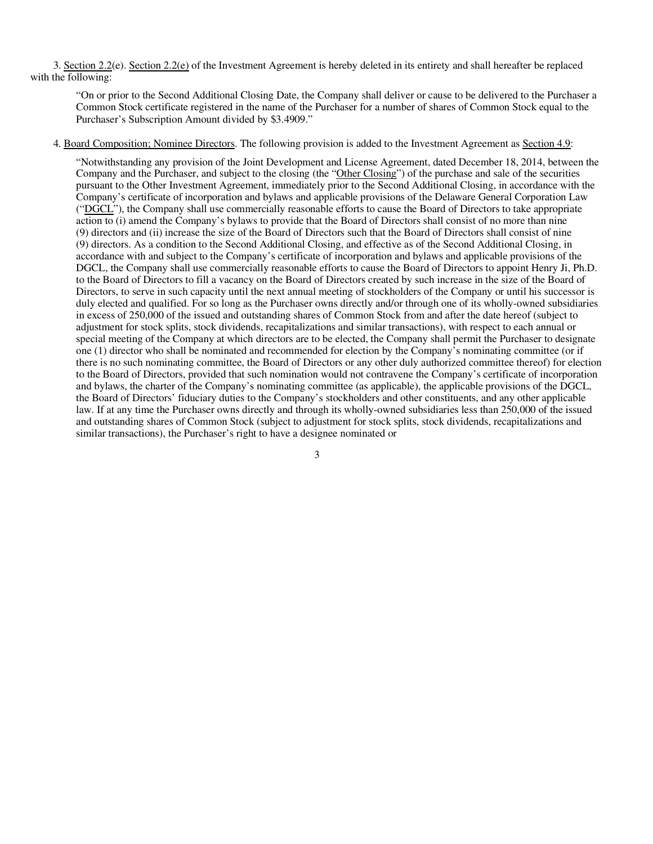3. Section 2.2(e). Section 2.2(e) of the Investment Agreement is hereby deleted in its entirety and shall hereafter be replaced with the following:

"On or prior to the Second Additional Closing Date, the Company shall deliver or cause to be delivered to the Purchaser a Common Stock certificate registered in the name of the Purchaser for a number of shares of Common Stock equal to the Purchaser's Subscription Amount divided by \$3.4909."

#### 4. Board Composition; Nominee Directors. The following provision is added to the Investment Agreement as Section 4.9:

"Notwithstanding any provision of the Joint Development and License Agreement, dated December 18, 2014, between the Company and the Purchaser, and subject to the closing (the "Other Closing") of the purchase and sale of the securities pursuant to the Other Investment Agreement, immediately prior to the Second Additional Closing, in accordance with the Company's certificate of incorporation and bylaws and applicable provisions of the Delaware General Corporation Law ("DGCL"), the Company shall use commercially reasonable efforts to cause the Board of Directors to take appropriate action to (i) amend the Company's bylaws to provide that the Board of Directors shall consist of no more than nine (9) directors and (ii) increase the size of the Board of Directors such that the Board of Directors shall consist of nine (9) directors. As a condition to the Second Additional Closing, and effective as of the Second Additional Closing, in accordance with and subject to the Company's certificate of incorporation and bylaws and applicable provisions of the DGCL, the Company shall use commercially reasonable efforts to cause the Board of Directors to appoint Henry Ji, Ph.D. to the Board of Directors to fill a vacancy on the Board of Directors created by such increase in the size of the Board of Directors, to serve in such capacity until the next annual meeting of stockholders of the Company or until his successor is duly elected and qualified. For so long as the Purchaser owns directly and/or through one of its wholly-owned subsidiaries in excess of 250,000 of the issued and outstanding shares of Common Stock from and after the date hereof (subject to adjustment for stock splits, stock dividends, recapitalizations and similar transactions), with respect to each annual or special meeting of the Company at which directors are to be elected, the Company shall permit the Purchaser to designate one (1) director who shall be nominated and recommended for election by the Company's nominating committee (or if there is no such nominating committee, the Board of Directors or any other duly authorized committee thereof) for election to the Board of Directors, provided that such nomination would not contravene the Company's certificate of incorporation and bylaws, the charter of the Company's nominating committee (as applicable), the applicable provisions of the DGCL, the Board of Directors' fiduciary duties to the Company's stockholders and other constituents, and any other applicable law. If at any time the Purchaser owns directly and through its wholly-owned subsidiaries less than 250,000 of the issued and outstanding shares of Common Stock (subject to adjustment for stock splits, stock dividends, recapitalizations and similar transactions), the Purchaser's right to have a designee nominated or

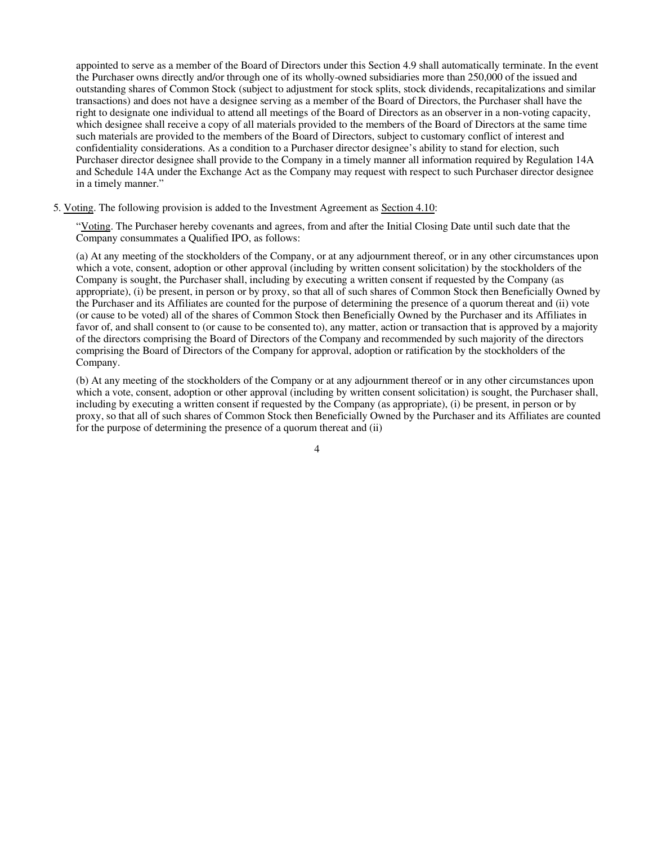appointed to serve as a member of the Board of Directors under this Section 4.9 shall automatically terminate. In the event the Purchaser owns directly and/or through one of its wholly-owned subsidiaries more than 250,000 of the issued and outstanding shares of Common Stock (subject to adjustment for stock splits, stock dividends, recapitalizations and similar transactions) and does not have a designee serving as a member of the Board of Directors, the Purchaser shall have the right to designate one individual to attend all meetings of the Board of Directors as an observer in a non-voting capacity, which designee shall receive a copy of all materials provided to the members of the Board of Directors at the same time such materials are provided to the members of the Board of Directors, subject to customary conflict of interest and confidentiality considerations. As a condition to a Purchaser director designee's ability to stand for election, such Purchaser director designee shall provide to the Company in a timely manner all information required by Regulation 14A and Schedule 14A under the Exchange Act as the Company may request with respect to such Purchaser director designee in a timely manner."

5. Voting. The following provision is added to the Investment Agreement as Section 4.10:

"Voting. The Purchaser hereby covenants and agrees, from and after the Initial Closing Date until such date that the Company consummates a Qualified IPO, as follows:

(a) At any meeting of the stockholders of the Company, or at any adjournment thereof, or in any other circumstances upon which a vote, consent, adoption or other approval (including by written consent solicitation) by the stockholders of the Company is sought, the Purchaser shall, including by executing a written consent if requested by the Company (as appropriate), (i) be present, in person or by proxy, so that all of such shares of Common Stock then Beneficially Owned by the Purchaser and its Affiliates are counted for the purpose of determining the presence of a quorum thereat and (ii) vote (or cause to be voted) all of the shares of Common Stock then Beneficially Owned by the Purchaser and its Affiliates in favor of, and shall consent to (or cause to be consented to), any matter, action or transaction that is approved by a majority of the directors comprising the Board of Directors of the Company and recommended by such majority of the directors comprising the Board of Directors of the Company for approval, adoption or ratification by the stockholders of the Company.

(b) At any meeting of the stockholders of the Company or at any adjournment thereof or in any other circumstances upon which a vote, consent, adoption or other approval (including by written consent solicitation) is sought, the Purchaser shall, including by executing a written consent if requested by the Company (as appropriate), (i) be present, in person or by proxy, so that all of such shares of Common Stock then Beneficially Owned by the Purchaser and its Affiliates are counted for the purpose of determining the presence of a quorum thereat and (ii)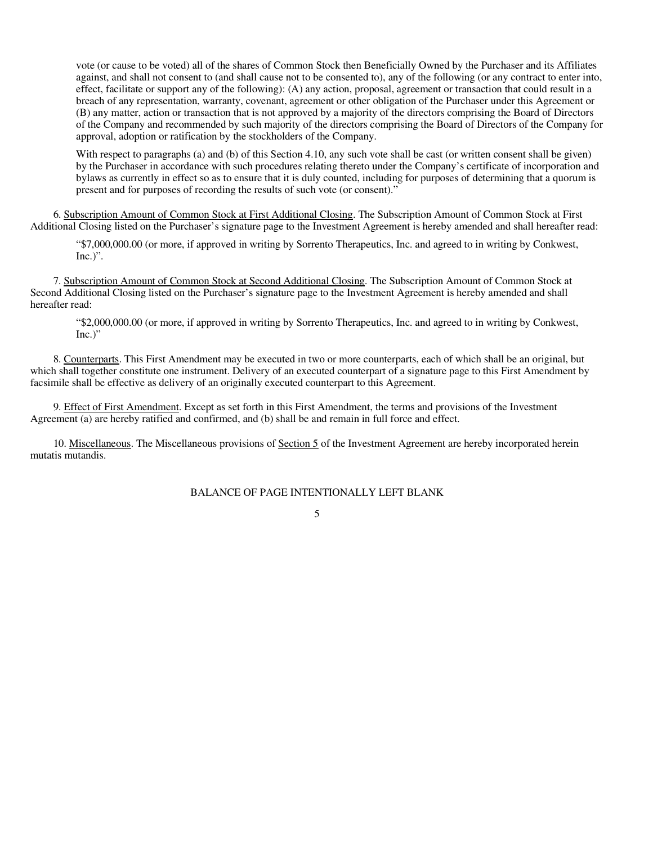vote (or cause to be voted) all of the shares of Common Stock then Beneficially Owned by the Purchaser and its Affiliates against, and shall not consent to (and shall cause not to be consented to), any of the following (or any contract to enter into, effect, facilitate or support any of the following): (A) any action, proposal, agreement or transaction that could result in a breach of any representation, warranty, covenant, agreement or other obligation of the Purchaser under this Agreement or (B) any matter, action or transaction that is not approved by a majority of the directors comprising the Board of Directors of the Company and recommended by such majority of the directors comprising the Board of Directors of the Company for approval, adoption or ratification by the stockholders of the Company.

With respect to paragraphs (a) and (b) of this Section 4.10, any such vote shall be cast (or written consent shall be given) by the Purchaser in accordance with such procedures relating thereto under the Company's certificate of incorporation and bylaws as currently in effect so as to ensure that it is duly counted, including for purposes of determining that a quorum is present and for purposes of recording the results of such vote (or consent)."

6. Subscription Amount of Common Stock at First Additional Closing. The Subscription Amount of Common Stock at First Additional Closing listed on the Purchaser's signature page to the Investment Agreement is hereby amended and shall hereafter read:

"\$7,000,000.00 (or more, if approved in writing by Sorrento Therapeutics, Inc. and agreed to in writing by Conkwest,  $Inc.$ ".

7. Subscription Amount of Common Stock at Second Additional Closing. The Subscription Amount of Common Stock at Second Additional Closing listed on the Purchaser's signature page to the Investment Agreement is hereby amended and shall hereafter read:

"\$2,000,000.00 (or more, if approved in writing by Sorrento Therapeutics, Inc. and agreed to in writing by Conkwest,  $Inc.)"$ 

8. Counterparts. This First Amendment may be executed in two or more counterparts, each of which shall be an original, but which shall together constitute one instrument. Delivery of an executed counterpart of a signature page to this First Amendment by facsimile shall be effective as delivery of an originally executed counterpart to this Agreement.

9. Effect of First Amendment. Except as set forth in this First Amendment, the terms and provisions of the Investment Agreement (a) are hereby ratified and confirmed, and (b) shall be and remain in full force and effect.

10. Miscellaneous. The Miscellaneous provisions of Section 5 of the Investment Agreement are hereby incorporated herein mutatis mutandis.

BALANCE OF PAGE INTENTIONALLY LEFT BLANK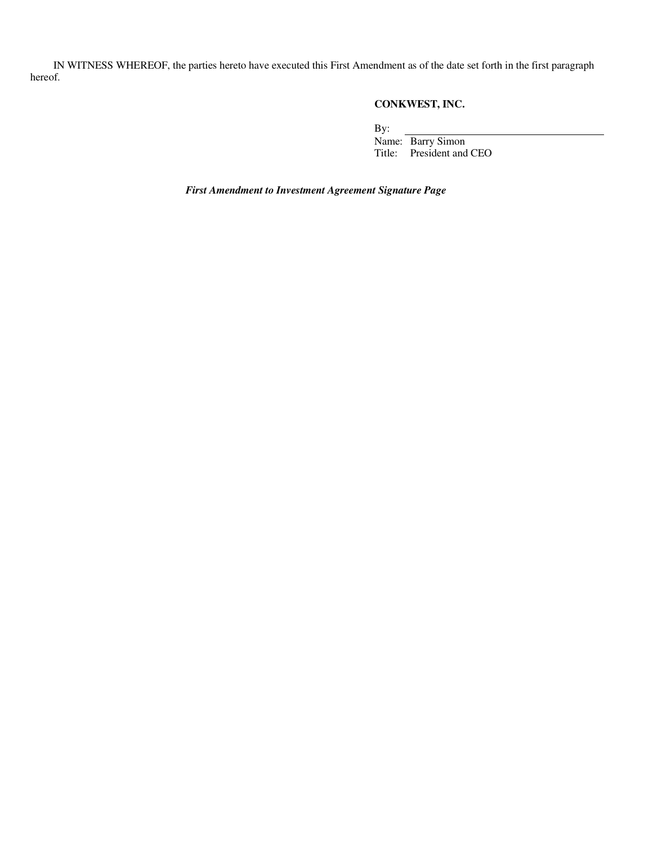IN WITNESS WHEREOF, the parties hereto have executed this First Amendment as of the date set forth in the first paragraph hereof.

### **CONKWEST, INC.**

By:

Name: Barry Simon Title: President and CEO

*First Amendment to Investment Agreement Signature Page*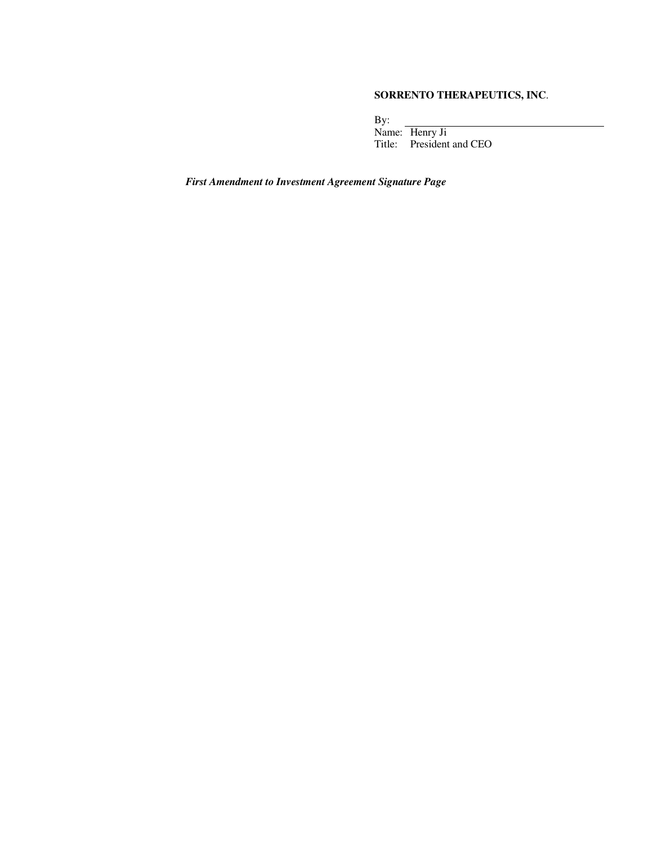#### **SORRENTO THERAPEUTICS, INC**.

By: Name: Henry Ji Title: President and CEO

*First Amendment to Investment Agreement Signature Page*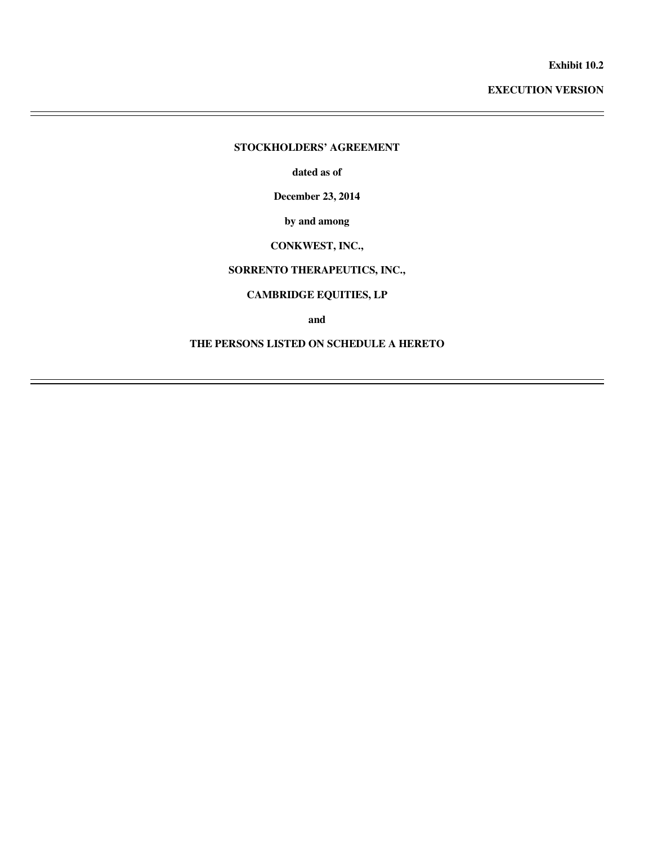**Exhibit 10.2** 

**EXECUTION VERSION** 

#### **STOCKHOLDERS' AGREEMENT**

 $\overline{a}$  $\overline{a}$ 

 $\overline{a}$ 

**dated as of** 

**December 23, 2014** 

**by and among** 

#### **CONKWEST, INC.,**

#### **SORRENTO THERAPEUTICS, INC.,**

#### **CAMBRIDGE EQUITIES, LP**

**and** 

#### **THE PERSONS LISTED ON SCHEDULE A HERETO**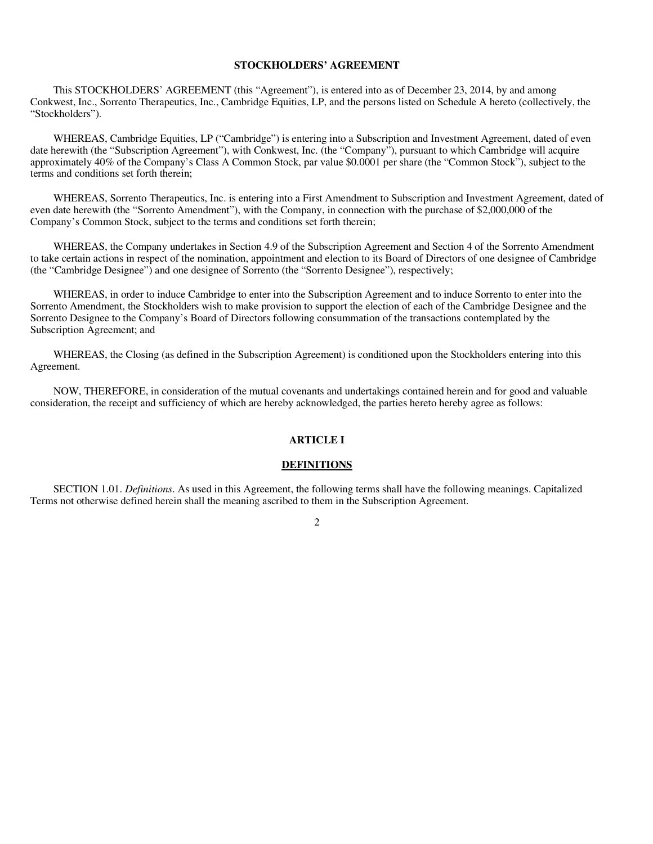#### **STOCKHOLDERS' AGREEMENT**

This STOCKHOLDERS' AGREEMENT (this "Agreement"), is entered into as of December 23, 2014, by and among Conkwest, Inc., Sorrento Therapeutics, Inc., Cambridge Equities, LP, and the persons listed on Schedule A hereto (collectively, the "Stockholders").

WHEREAS, Cambridge Equities, LP ("Cambridge") is entering into a Subscription and Investment Agreement, dated of even date herewith (the "Subscription Agreement"), with Conkwest, Inc. (the "Company"), pursuant to which Cambridge will acquire approximately 40% of the Company's Class A Common Stock, par value \$0.0001 per share (the "Common Stock"), subject to the terms and conditions set forth therein;

WHEREAS, Sorrento Therapeutics, Inc. is entering into a First Amendment to Subscription and Investment Agreement, dated of even date herewith (the "Sorrento Amendment"), with the Company, in connection with the purchase of \$2,000,000 of the Company's Common Stock, subject to the terms and conditions set forth therein;

WHEREAS, the Company undertakes in Section 4.9 of the Subscription Agreement and Section 4 of the Sorrento Amendment to take certain actions in respect of the nomination, appointment and election to its Board of Directors of one designee of Cambridge (the "Cambridge Designee") and one designee of Sorrento (the "Sorrento Designee"), respectively;

WHEREAS, in order to induce Cambridge to enter into the Subscription Agreement and to induce Sorrento to enter into the Sorrento Amendment, the Stockholders wish to make provision to support the election of each of the Cambridge Designee and the Sorrento Designee to the Company's Board of Directors following consummation of the transactions contemplated by the Subscription Agreement; and

WHEREAS, the Closing (as defined in the Subscription Agreement) is conditioned upon the Stockholders entering into this Agreement.

NOW, THEREFORE, in consideration of the mutual covenants and undertakings contained herein and for good and valuable consideration, the receipt and sufficiency of which are hereby acknowledged, the parties hereto hereby agree as follows:

#### **ARTICLE I**

#### **DEFINITIONS**

SECTION 1.01. *Definitions*. As used in this Agreement, the following terms shall have the following meanings. Capitalized Terms not otherwise defined herein shall the meaning ascribed to them in the Subscription Agreement.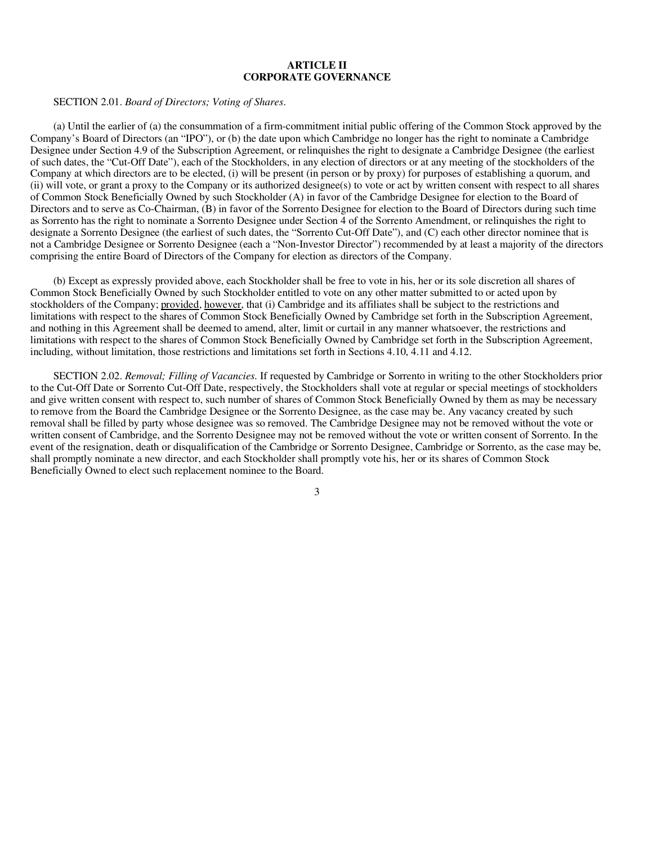#### **ARTICLE II CORPORATE GOVERNANCE**

SECTION 2.01. *Board of Directors; Voting of Shares*.

(a) Until the earlier of (a) the consummation of a firm-commitment initial public offering of the Common Stock approved by the Company's Board of Directors (an "IPO"), or (b) the date upon which Cambridge no longer has the right to nominate a Cambridge Designee under Section 4.9 of the Subscription Agreement, or relinquishes the right to designate a Cambridge Designee (the earliest of such dates, the "Cut-Off Date"), each of the Stockholders, in any election of directors or at any meeting of the stockholders of the Company at which directors are to be elected, (i) will be present (in person or by proxy) for purposes of establishing a quorum, and (ii) will vote, or grant a proxy to the Company or its authorized designee(s) to vote or act by written consent with respect to all shares of Common Stock Beneficially Owned by such Stockholder (A) in favor of the Cambridge Designee for election to the Board of Directors and to serve as Co-Chairman, (B) in favor of the Sorrento Designee for election to the Board of Directors during such time as Sorrento has the right to nominate a Sorrento Designee under Section 4 of the Sorrento Amendment, or relinquishes the right to designate a Sorrento Designee (the earliest of such dates, the "Sorrento Cut-Off Date"), and (C) each other director nominee that is not a Cambridge Designee or Sorrento Designee (each a "Non-Investor Director") recommended by at least a majority of the directors comprising the entire Board of Directors of the Company for election as directors of the Company.

(b) Except as expressly provided above, each Stockholder shall be free to vote in his, her or its sole discretion all shares of Common Stock Beneficially Owned by such Stockholder entitled to vote on any other matter submitted to or acted upon by stockholders of the Company; provided, however, that (i) Cambridge and its affiliates shall be subject to the restrictions and limitations with respect to the shares of Common Stock Beneficially Owned by Cambridge set forth in the Subscription Agreement, and nothing in this Agreement shall be deemed to amend, alter, limit or curtail in any manner whatsoever, the restrictions and limitations with respect to the shares of Common Stock Beneficially Owned by Cambridge set forth in the Subscription Agreement, including, without limitation, those restrictions and limitations set forth in Sections 4.10, 4.11 and 4.12.

SECTION 2.02. *Removal; Filling of Vacancies.* If requested by Cambridge or Sorrento in writing to the other Stockholders prior to the Cut-Off Date or Sorrento Cut-Off Date, respectively, the Stockholders shall vote at regular or special meetings of stockholders and give written consent with respect to, such number of shares of Common Stock Beneficially Owned by them as may be necessary to remove from the Board the Cambridge Designee or the Sorrento Designee, as the case may be. Any vacancy created by such removal shall be filled by party whose designee was so removed. The Cambridge Designee may not be removed without the vote or written consent of Cambridge, and the Sorrento Designee may not be removed without the vote or written consent of Sorrento. In the event of the resignation, death or disqualification of the Cambridge or Sorrento Designee, Cambridge or Sorrento, as the case may be, shall promptly nominate a new director, and each Stockholder shall promptly vote his, her or its shares of Common Stock Beneficially Owned to elect such replacement nominee to the Board.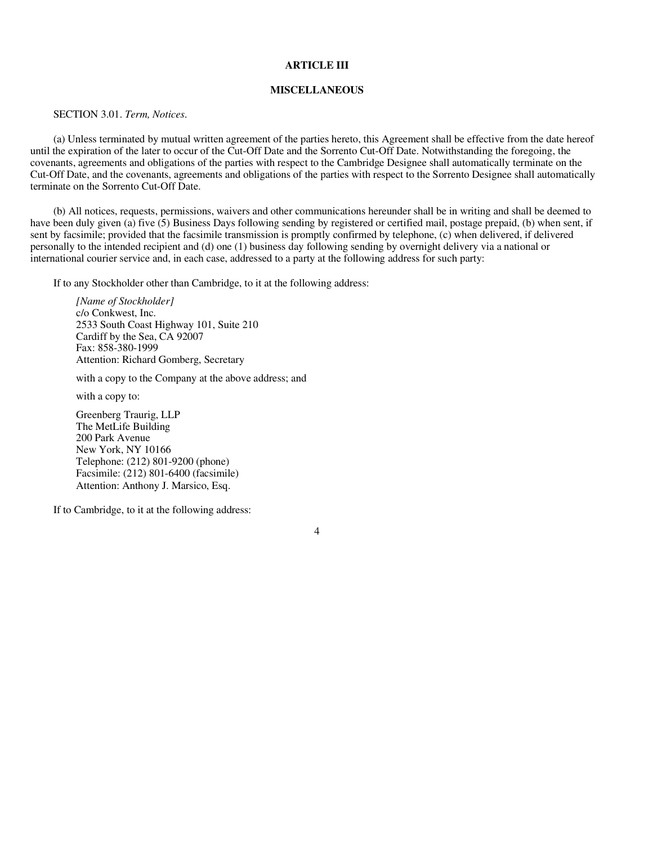#### **ARTICLE III**

#### **MISCELLANEOUS**

SECTION 3.01. *Term, Notices*.

(a) Unless terminated by mutual written agreement of the parties hereto, this Agreement shall be effective from the date hereof until the expiration of the later to occur of the Cut-Off Date and the Sorrento Cut-Off Date. Notwithstanding the foregoing, the covenants, agreements and obligations of the parties with respect to the Cambridge Designee shall automatically terminate on the Cut-Off Date, and the covenants, agreements and obligations of the parties with respect to the Sorrento Designee shall automatically terminate on the Sorrento Cut-Off Date.

(b) All notices, requests, permissions, waivers and other communications hereunder shall be in writing and shall be deemed to have been duly given (a) five (5) Business Days following sending by registered or certified mail, postage prepaid, (b) when sent, if sent by facsimile; provided that the facsimile transmission is promptly confirmed by telephone, (c) when delivered, if delivered personally to the intended recipient and (d) one (1) business day following sending by overnight delivery via a national or international courier service and, in each case, addressed to a party at the following address for such party:

If to any Stockholder other than Cambridge, to it at the following address:

*[Name of Stockholder]*  c/o Conkwest, Inc. 2533 South Coast Highway 101, Suite 210 Cardiff by the Sea, CA 92007 Fax: 858-380-1999 Attention: Richard Gomberg, Secretary

with a copy to the Company at the above address; and

with a copy to:

Greenberg Traurig, LLP The MetLife Building 200 Park Avenue New York, NY 10166 Telephone: (212) 801-9200 (phone) Facsimile: (212) 801-6400 (facsimile) Attention: Anthony J. Marsico, Esq.

If to Cambridge, to it at the following address: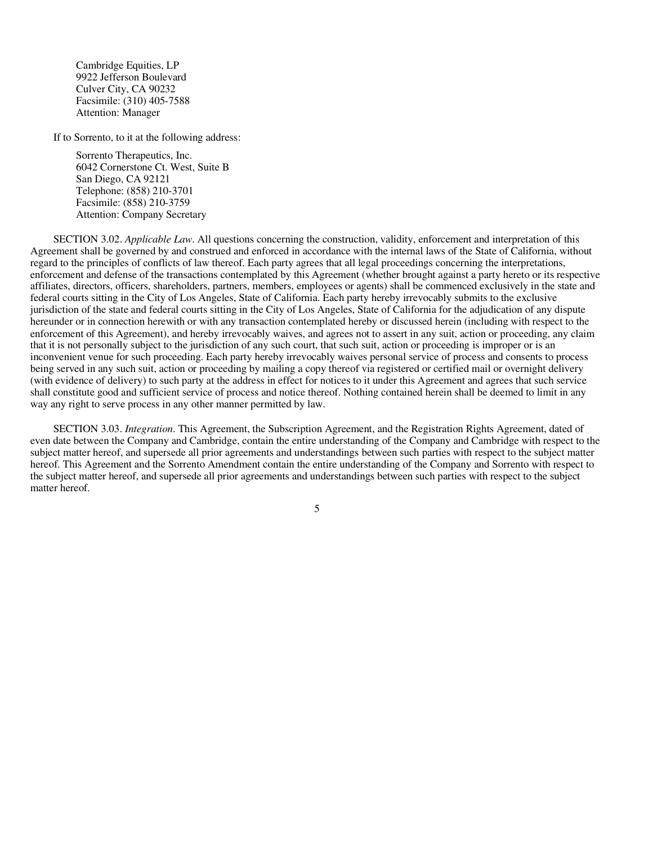Cambridge Equities, LP 9922 Jefferson Boulevard Culver City, CA 90232 Facsimile: (310) 405-7588 Attention: Manager

If to Sorrento, to it at the following address:

Sorrento Therapeutics, Inc. 6042 Cornerstone Ct. West, Suite B San Diego, CA 92121 Telephone: (858) 210-3701 Facsimile: (858) 210-3759 Attention: Company Secretary

SECTION 3.02. *Applicable Law*. All questions concerning the construction, validity, enforcement and interpretation of this Agreement shall be governed by and construed and enforced in accordance with the internal laws of the State of California, without regard to the principles of conflicts of law thereof. Each party agrees that all legal proceedings concerning the interpretations, enforcement and defense of the transactions contemplated by this Agreement (whether brought against a party hereto or its respective affiliates, directors, officers, shareholders, partners, members, employees or agents) shall be commenced exclusively in the state and federal courts sitting in the City of Los Angeles, State of California. Each party hereby irrevocably submits to the exclusive jurisdiction of the state and federal courts sitting in the City of Los Angeles, State of California for the adjudication of any dispute hereunder or in connection herewith or with any transaction contemplated hereby or discussed herein (including with respect to the enforcement of this Agreement), and hereby irrevocably waives, and agrees not to assert in any suit, action or proceeding, any claim that it is not personally subject to the jurisdiction of any such court, that such suit, action or proceeding is improper or is an inconvenient venue for such proceeding. Each party hereby irrevocably waives personal service of process and consents to process being served in any such suit, action or proceeding by mailing a copy thereof via registered or certified mail or overnight delivery (with evidence of delivery) to such party at the address in effect for notices to it under this Agreement and agrees that such service shall constitute good and sufficient service of process and notice thereof. Nothing contained herein shall be deemed to limit in any way any right to serve process in any other manner permitted by law.

SECTION 3.03. *Integration*. This Agreement, the Subscription Agreement, and the Registration Rights Agreement, dated of even date between the Company and Cambridge, contain the entire understanding of the Company and Cambridge with respect to the subject matter hereof, and supersede all prior agreements and understandings between such parties with respect to the subject matter hereof. This Agreement and the Sorrento Amendment contain the entire understanding of the Company and Sorrento with respect to the subject matter hereof, and supersede all prior agreements and understandings between such parties with respect to the subject matter hereof.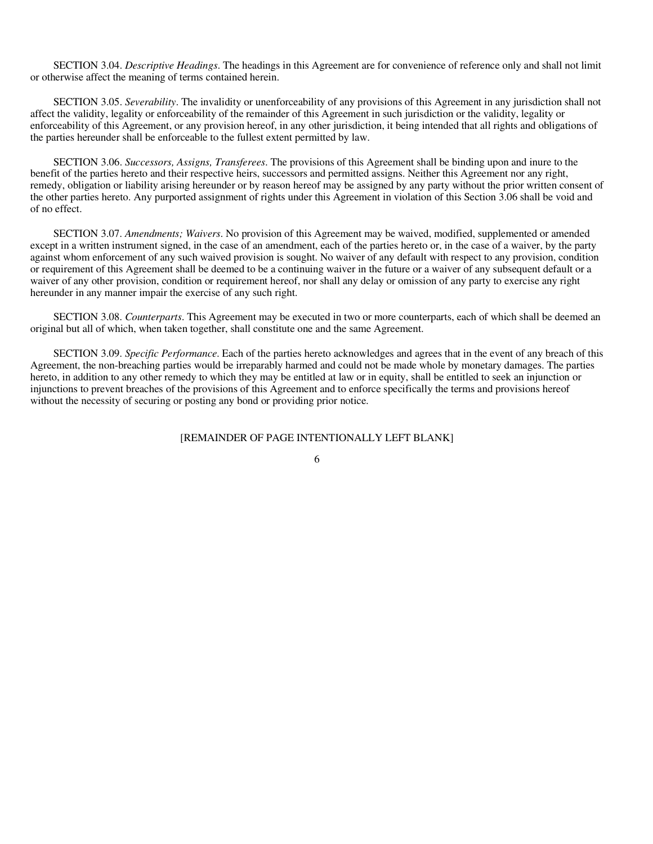SECTION 3.04. *Descriptive Headings*. The headings in this Agreement are for convenience of reference only and shall not limit or otherwise affect the meaning of terms contained herein.

SECTION 3.05. *Severability*. The invalidity or unenforceability of any provisions of this Agreement in any jurisdiction shall not affect the validity, legality or enforceability of the remainder of this Agreement in such jurisdiction or the validity, legality or enforceability of this Agreement, or any provision hereof, in any other jurisdiction, it being intended that all rights and obligations of the parties hereunder shall be enforceable to the fullest extent permitted by law.

SECTION 3.06. *Successors, Assigns, Transferees*. The provisions of this Agreement shall be binding upon and inure to the benefit of the parties hereto and their respective heirs, successors and permitted assigns. Neither this Agreement nor any right, remedy, obligation or liability arising hereunder or by reason hereof may be assigned by any party without the prior written consent of the other parties hereto. Any purported assignment of rights under this Agreement in violation of this Section 3.06 shall be void and of no effect.

SECTION 3.07. *Amendments; Waivers*. No provision of this Agreement may be waived, modified, supplemented or amended except in a written instrument signed, in the case of an amendment, each of the parties hereto or, in the case of a waiver, by the party against whom enforcement of any such waived provision is sought. No waiver of any default with respect to any provision, condition or requirement of this Agreement shall be deemed to be a continuing waiver in the future or a waiver of any subsequent default or a waiver of any other provision, condition or requirement hereof, nor shall any delay or omission of any party to exercise any right hereunder in any manner impair the exercise of any such right.

SECTION 3.08. *Counterparts*. This Agreement may be executed in two or more counterparts, each of which shall be deemed an original but all of which, when taken together, shall constitute one and the same Agreement.

SECTION 3.09. *Specific Performance*. Each of the parties hereto acknowledges and agrees that in the event of any breach of this Agreement, the non-breaching parties would be irreparably harmed and could not be made whole by monetary damages. The parties hereto, in addition to any other remedy to which they may be entitled at law or in equity, shall be entitled to seek an injunction or injunctions to prevent breaches of the provisions of this Agreement and to enforce specifically the terms and provisions hereof without the necessity of securing or posting any bond or providing prior notice.

#### [REMAINDER OF PAGE INTENTIONALLY LEFT BLANK]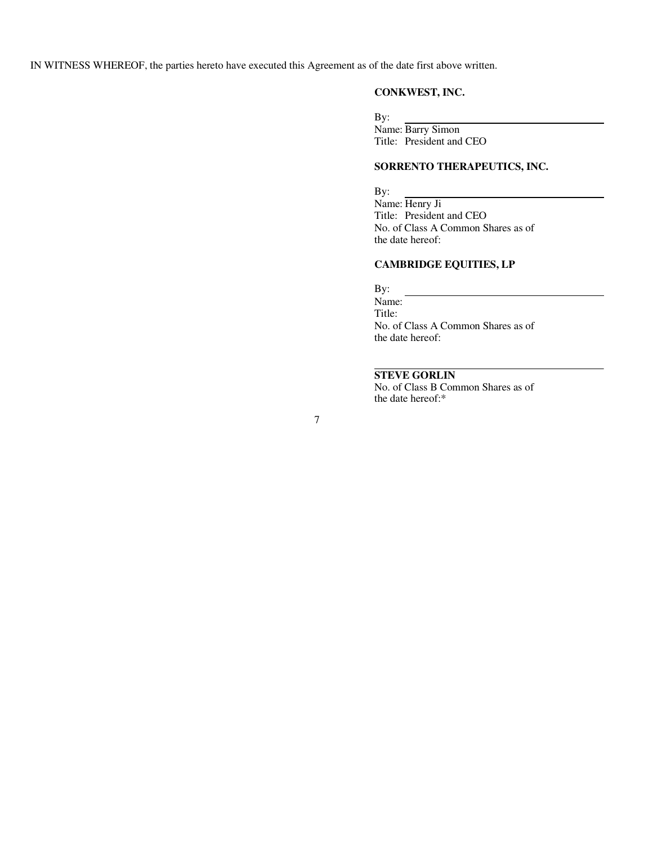IN WITNESS WHEREOF, the parties hereto have executed this Agreement as of the date first above written.

#### **CONKWEST, INC.**

By: Name: Barry Simon Title: President and CEO

#### **SORRENTO THERAPEUTICS, INC.**

By: Name: Henry Ji Title: President and CEO No. of Class A Common Shares as of the date hereof:

#### **CAMBRIDGE EQUITIES, LP**

By:

Name: Title: No. of Class A Common Shares as of the date hereof:

#### **STEVE GORLIN**

No. of Class B Common Shares as of the date hereof:\*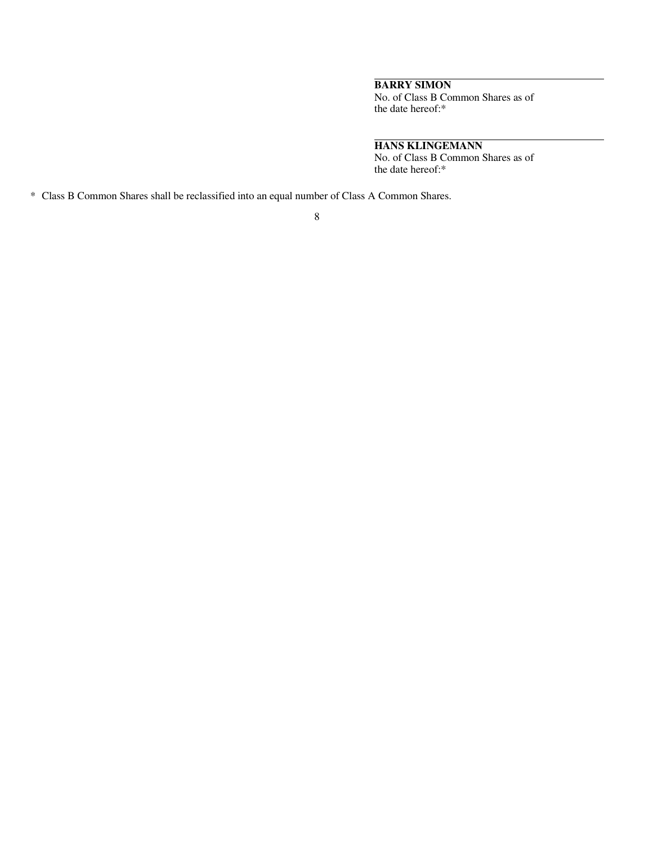#### **BARRY SIMON**

No. of Class B Common Shares as of the date hereof:\*

#### **HANS KLINGEMANN**

No. of Class B Common Shares as of the date hereof:\*

\* Class B Common Shares shall be reclassified into an equal number of Class A Common Shares.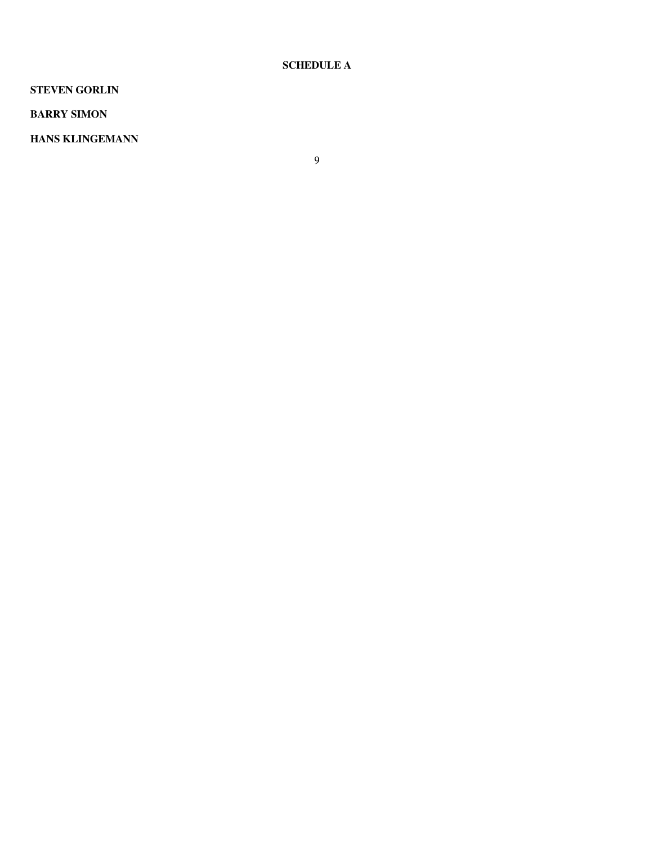#### **SCHEDULE A**

#### **STEVEN GORLIN**

#### **BARRY SIMON**

#### **HANS KLINGEMANN**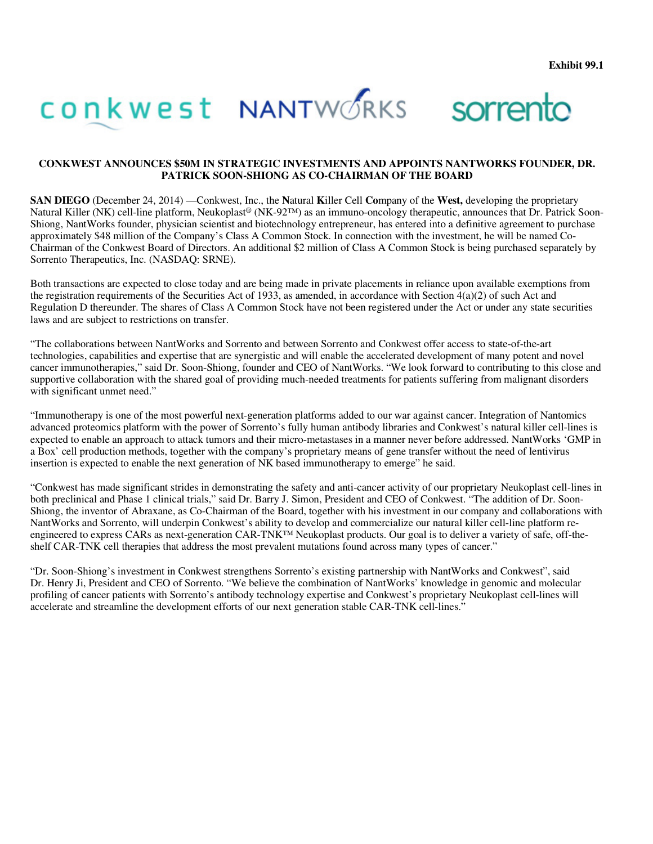#### **CONKWEST ANNOUNCES \$50M IN STRATEGIC INVESTMENTS AND APPOINTS NANTWORKS FOUNDER, DR. PATRICK SOON-SHIONG AS CO-CHAIRMAN OF THE BOARD**

**SAN DIEGO** (December 24, 2014) —Conkwest, Inc., the **N**atural **K**iller Cell **Co**mpany of the **West,** developing the proprietary Natural Killer (NK) cell-line platform, Neukoplast® (NK-92™) as an immuno-oncology therapeutic, announces that Dr. Patrick Soon-Shiong, NantWorks founder, physician scientist and biotechnology entrepreneur, has entered into a definitive agreement to purchase approximately \$48 million of the Company's Class A Common Stock. In connection with the investment, he will be named Co-Chairman of the Conkwest Board of Directors. An additional \$2 million of Class A Common Stock is being purchased separately by Sorrento Therapeutics, Inc. (NASDAQ: SRNE).

Both transactions are expected to close today and are being made in private placements in reliance upon available exemptions from the registration requirements of the Securities Act of 1933, as amended, in accordance with Section  $4(a)(2)$  of such Act and Regulation D thereunder. The shares of Class A Common Stock have not been registered under the Act or under any state securities laws and are subject to restrictions on transfer.

"The collaborations between NantWorks and Sorrento and between Sorrento and Conkwest offer access to state-of-the-art technologies, capabilities and expertise that are synergistic and will enable the accelerated development of many potent and novel cancer immunotherapies," said Dr. Soon-Shiong, founder and CEO of NantWorks. "We look forward to contributing to this close and supportive collaboration with the shared goal of providing much-needed treatments for patients suffering from malignant disorders with significant unmet need."

"Immunotherapy is one of the most powerful next-generation platforms added to our war against cancer. Integration of Nantomics advanced proteomics platform with the power of Sorrento's fully human antibody libraries and Conkwest's natural killer cell-lines is expected to enable an approach to attack tumors and their micro-metastases in a manner never before addressed. NantWorks 'GMP in a Box' cell production methods, together with the company's proprietary means of gene transfer without the need of lentivirus insertion is expected to enable the next generation of NK based immunotherapy to emerge" he said.

"Conkwest has made significant strides in demonstrating the safety and anti-cancer activity of our proprietary Neukoplast cell-lines in both preclinical and Phase 1 clinical trials," said Dr. Barry J. Simon, President and CEO of Conkwest. "The addition of Dr. Soon-Shiong, the inventor of Abraxane, as Co-Chairman of the Board, together with his investment in our company and collaborations with NantWorks and Sorrento, will underpin Conkwest's ability to develop and commercialize our natural killer cell-line platform reengineered to express CARs as next-generation CAR-TNK<sup>™</sup> Neukoplast products. Our goal is to deliver a variety of safe, off-theshelf CAR-TNK cell therapies that address the most prevalent mutations found across many types of cancer."

"Dr. Soon-Shiong's investment in Conkwest strengthens Sorrento's existing partnership with NantWorks and Conkwest", said Dr. Henry Ji, President and CEO of Sorrento. "We believe the combination of NantWorks' knowledge in genomic and molecular profiling of cancer patients with Sorrento's antibody technology expertise and Conkwest's proprietary Neukoplast cell-lines will accelerate and streamline the development efforts of our next generation stable CAR-TNK cell-lines."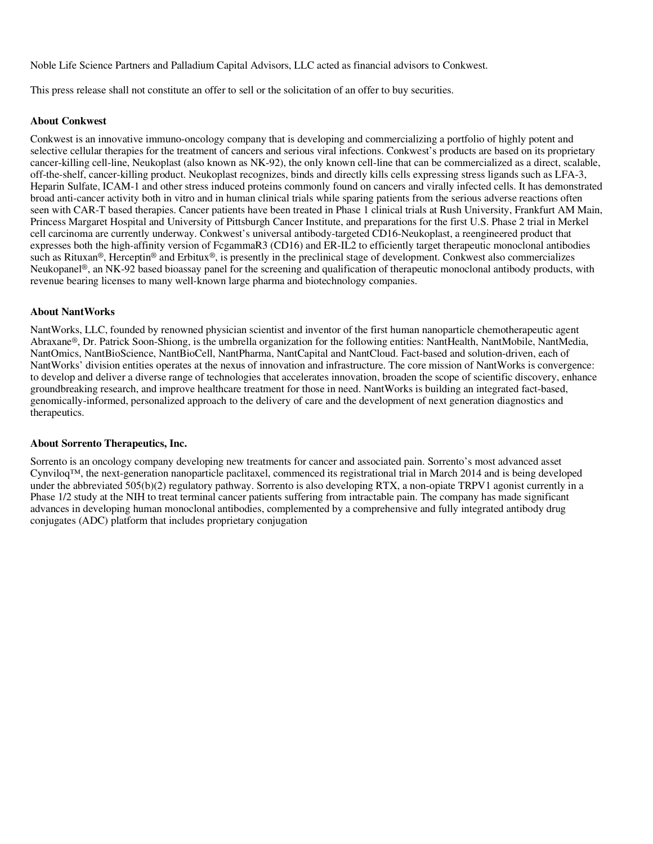Noble Life Science Partners and Palladium Capital Advisors, LLC acted as financial advisors to Conkwest.

This press release shall not constitute an offer to sell or the solicitation of an offer to buy securities.

#### **About Conkwest**

Conkwest is an innovative immuno-oncology company that is developing and commercializing a portfolio of highly potent and selective cellular therapies for the treatment of cancers and serious viral infections. Conkwest's products are based on its proprietary cancer-killing cell-line, Neukoplast (also known as NK-92), the only known cell-line that can be commercialized as a direct, scalable, off-the-shelf, cancer-killing product. Neukoplast recognizes, binds and directly kills cells expressing stress ligands such as LFA-3, Heparin Sulfate, ICAM-1 and other stress induced proteins commonly found on cancers and virally infected cells. It has demonstrated broad anti-cancer activity both in vitro and in human clinical trials while sparing patients from the serious adverse reactions often seen with CAR-T based therapies. Cancer patients have been treated in Phase 1 clinical trials at Rush University, Frankfurt AM Main, Princess Margaret Hospital and University of Pittsburgh Cancer Institute, and preparations for the first U.S. Phase 2 trial in Merkel cell carcinoma are currently underway. Conkwest's universal antibody-targeted CD16-Neukoplast, a reengineered product that expresses both the high-affinity version of FcgammaR3 (CD16) and ER-IL2 to efficiently target therapeutic monoclonal antibodies such as Rituxan<sup>®</sup>, Herceptin<sup>®</sup> and Erbitux®, is presently in the preclinical stage of development. Conkwest also commercializes Neukopanel®, an NK-92 based bioassay panel for the screening and qualification of therapeutic monoclonal antibody products, with revenue bearing licenses to many well-known large pharma and biotechnology companies.

#### **About NantWorks**

NantWorks, LLC, founded by renowned physician scientist and inventor of the first human nanoparticle chemotherapeutic agent Abraxane®, Dr. Patrick Soon-Shiong, is the umbrella organization for the following entities: NantHealth, NantMobile, NantMedia, NantOmics, NantBioScience, NantBioCell, NantPharma, NantCapital and NantCloud. Fact-based and solution-driven, each of NantWorks' division entities operates at the nexus of innovation and infrastructure. The core mission of NantWorks is convergence: to develop and deliver a diverse range of technologies that accelerates innovation, broaden the scope of scientific discovery, enhance groundbreaking research, and improve healthcare treatment for those in need. NantWorks is building an integrated fact-based, genomically-informed, personalized approach to the delivery of care and the development of next generation diagnostics and therapeutics.

#### **About Sorrento Therapeutics, Inc.**

Sorrento is an oncology company developing new treatments for cancer and associated pain. Sorrento's most advanced asset Cynviloq™, the next-generation nanoparticle paclitaxel, commenced its registrational trial in March 2014 and is being developed under the abbreviated 505(b)(2) regulatory pathway. Sorrento is also developing RTX, a non-opiate TRPV1 agonist currently in a Phase 1/2 study at the NIH to treat terminal cancer patients suffering from intractable pain. The company has made significant advances in developing human monoclonal antibodies, complemented by a comprehensive and fully integrated antibody drug conjugates (ADC) platform that includes proprietary conjugation